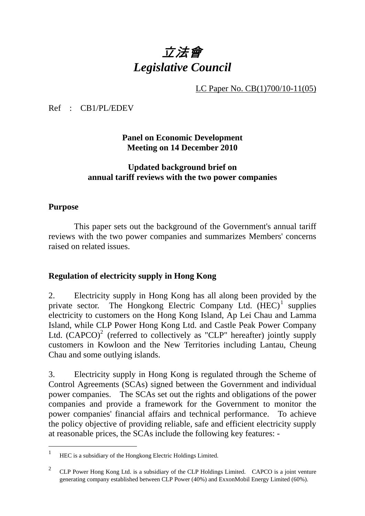# 立法會 *Legislative Council*

LC Paper No. CB(1)700/10-11(05)

Ref : CB1/PL/EDEV

**Panel on Economic Development Meeting on 14 December 2010** 

## **Updated background brief on annual tariff reviews with the two power companies**

## **Purpose**

 This paper sets out the background of the Government's annual tariff reviews with the two power companies and summarizes Members' concerns raised on related issues.

# **Regulation of electricity supply in Hong Kong**

2. Electricity supply in Hong Kong has all along been provided by the private sector. The Hongkong Electric Company Ltd. (HEC)<sup>1</sup> supplies electricity to customers on the Hong Kong Island, Ap Lei Chau and Lamma Island, while CLP Power Hong Kong Ltd. and Castle Peak Power Company Ltd.  $(CAPCO)^2$  (referred to collectively as "CLP" hereafter) jointly supply customers in Kowloon and the New Territories including Lantau, Cheung Chau and some outlying islands.

3. Electricity supply in Hong Kong is regulated through the Scheme of Control Agreements (SCAs) signed between the Government and individual power companies. The SCAs set out the rights and obligations of the power companies and provide a framework for the Government to monitor the power companies' financial affairs and technical performance. To achieve the policy objective of providing reliable, safe and efficient electricity supply at reasonable prices, the SCAs include the following key features: -

 $\overline{1}$ <sup>1</sup> HEC is a subsidiary of the Hongkong Electric Holdings Limited.

<sup>&</sup>lt;sup>2</sup> CLP Power Hong Kong Ltd. is a subsidiary of the CLP Holdings Limited. CAPCO is a joint venture generating company established between CLP Power (40%) and ExxonMobil Energy Limited (60%).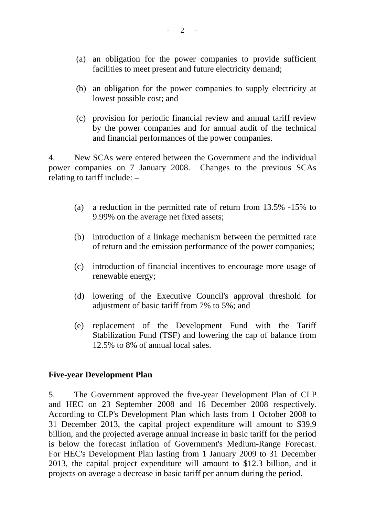- (a) an obligation for the power companies to provide sufficient facilities to meet present and future electricity demand;
- (b) an obligation for the power companies to supply electricity at lowest possible cost; and
- (c) provision for periodic financial review and annual tariff review by the power companies and for annual audit of the technical and financial performances of the power companies.

4. New SCAs were entered between the Government and the individual power companies on 7 January 2008. Changes to the previous SCAs relating to tariff include: –

- (a) a reduction in the permitted rate of return from 13.5% -15% to 9.99% on the average net fixed assets;
- (b) introduction of a linkage mechanism between the permitted rate of return and the emission performance of the power companies;
- (c) introduction of financial incentives to encourage more usage of renewable energy;
- (d) lowering of the Executive Council's approval threshold for adjustment of basic tariff from 7% to 5%; and
- (e) replacement of the Development Fund with the Tariff Stabilization Fund (TSF) and lowering the cap of balance from 12.5% to 8% of annual local sales.

#### **Five-year Development Plan**

5. The Government approved the five-year Development Plan of CLP and HEC on 23 September 2008 and 16 December 2008 respectively. According to CLP's Development Plan which lasts from 1 October 2008 to 31 December 2013, the capital project expenditure will amount to \$39.9 billion, and the projected average annual increase in basic tariff for the period is below the forecast inflation of Government's Medium-Range Forecast. For HEC's Development Plan lasting from 1 January 2009 to 31 December 2013, the capital project expenditure will amount to \$12.3 billion, and it projects on average a decrease in basic tariff per annum during the period.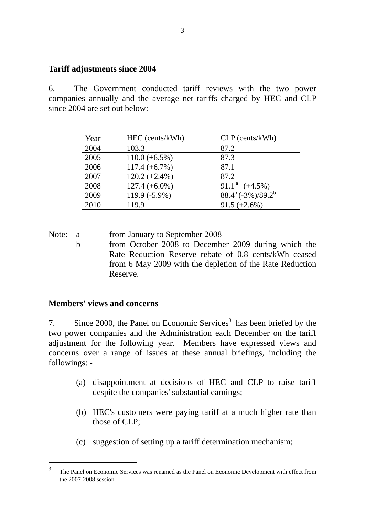## **Tariff adjustments since 2004**

6. The Government conducted tariff reviews with the two power companies annually and the average net tariffs charged by HEC and CLP since 2004 are set out below: –

| Year | HEC (cents/kWh)  | $CLP$ (cents/kWh)            |
|------|------------------|------------------------------|
| 2004 | 103.3            | 87.2                         |
| 2005 | $110.0 (+6.5%)$  | 87.3                         |
| 2006 | $117.4 (+6.7%)$  | 87.1                         |
| 2007 | $120.2 (+2.4\%)$ | 87.2                         |
| 2008 | $127.4 (+6.0\%)$ | 91.1 <sup>a</sup> $(+4.5\%)$ |
| 2009 | 119.9 (-5.9%)    | $88.4^b(-3\%)/89.2^b$        |
| 2010 | 119.9            | $91.5 (+2.6%)$               |

Note: a – from January to September 2008

 b – from October 2008 to December 2009 during which the Rate Reduction Reserve rebate of 0.8 cents/kWh ceased from 6 May 2009 with the depletion of the Rate Reduction Reserve.

## **Members' views and concerns**

7. Since 2000, the Panel on Economic Services<sup>3</sup> has been briefed by the two power companies and the Administration each December on the tariff adjustment for the following year. Members have expressed views and concerns over a range of issues at these annual briefings, including the followings: -

- (a) disappointment at decisions of HEC and CLP to raise tariff despite the companies' substantial earnings;
- (b) HEC's customers were paying tariff at a much higher rate than those of CLP;
- (c) suggestion of setting up a tariff determination mechanism;

 $\overline{3}$ <sup>3</sup> The Panel on Economic Services was renamed as the Panel on Economic Development with effect from the 2007-2008 session.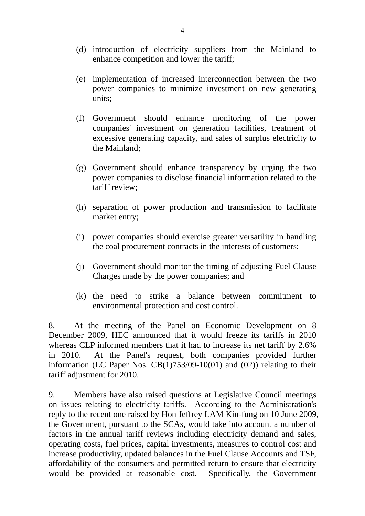- (d) introduction of electricity suppliers from the Mainland to enhance competition and lower the tariff;
- (e) implementation of increased interconnection between the two power companies to minimize investment on new generating units;
- (f) Government should enhance monitoring of the power companies' investment on generation facilities, treatment of excessive generating capacity, and sales of surplus electricity to the Mainland;
- (g) Government should enhance transparency by urging the two power companies to disclose financial information related to the tariff review;
- (h) separation of power production and transmission to facilitate market entry;
- (i) power companies should exercise greater versatility in handling the coal procurement contracts in the interests of customers;
- (j) Government should monitor the timing of adjusting Fuel Clause Charges made by the power companies; and
- (k) the need to strike a balance between commitment to environmental protection and cost control.

8. At the meeting of the Panel on Economic Development on 8 December 2009, HEC announced that it would freeze its tariffs in 2010 whereas CLP informed members that it had to increase its net tariff by 2.6% in 2010. At the Panel's request, both companies provided further information (LC Paper Nos.  $CB(1)753/09-10(01)$  and  $(02)$ ) relating to their tariff adjustment for 2010.

9. Members have also raised questions at Legislative Council meetings on issues relating to electricity tariffs. According to the Administration's reply to the recent one raised by Hon Jeffrey LAM Kin-fung on 10 June 2009, the Government, pursuant to the SCAs, would take into account a number of factors in the annual tariff reviews including electricity demand and sales, operating costs, fuel prices, capital investments, measures to control cost and increase productivity, updated balances in the Fuel Clause Accounts and TSF, affordability of the consumers and permitted return to ensure that electricity would be provided at reasonable cost. Specifically, the Government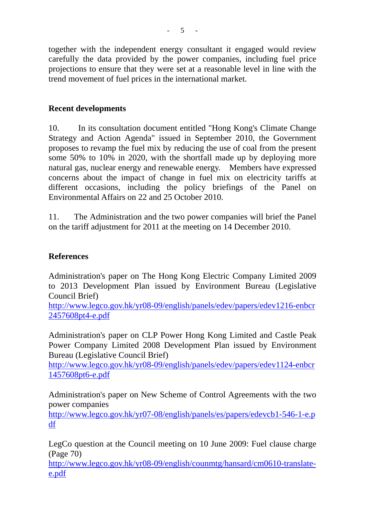together with the independent energy consultant it engaged would review carefully the data provided by the power companies, including fuel price projections to ensure that they were set at a reasonable level in line with the trend movement of fuel prices in the international market.

# **Recent developments**

10. In its consultation document entitled "Hong Kong's Climate Change Strategy and Action Agenda" issued in September 2010, the Government proposes to revamp the fuel mix by reducing the use of coal from the present some 50% to 10% in 2020, with the shortfall made up by deploying more natural gas, nuclear energy and renewable energy. Members have expressed concerns about the impact of change in fuel mix on electricity tariffs at different occasions, including the policy briefings of the Panel on Environmental Affairs on 22 and 25 October 2010.

11. The Administration and the two power companies will brief the Panel on the tariff adjustment for 2011 at the meeting on 14 December 2010.

# **References**

Administration's paper on The Hong Kong Electric Company Limited 2009 to 2013 Development Plan issued by Environment Bureau (Legislative Council Brief)

http://www.legco.gov.hk/yr08-09/english/panels/edev/papers/edev1216-enbcr 2457608pt4-e.pdf

Administration's paper on CLP Power Hong Kong Limited and Castle Peak Power Company Limited 2008 Development Plan issued by Environment Bureau (Legislative Council Brief)

http://www.legco.gov.hk/yr08-09/english/panels/edev/papers/edev1124-enbcr 1457608pt6-e.pdf

Administration's paper on New Scheme of Control Agreements with the two power companies

http://www.legco.gov.hk/yr07-08/english/panels/es/papers/edevcb1-546-1-e.p df

LegCo question at the Council meeting on 10 June 2009: Fuel clause charge (Page 70)

http://www.legco.gov.hk/yr08-09/english/counmtg/hansard/cm0610-translatee.pdf